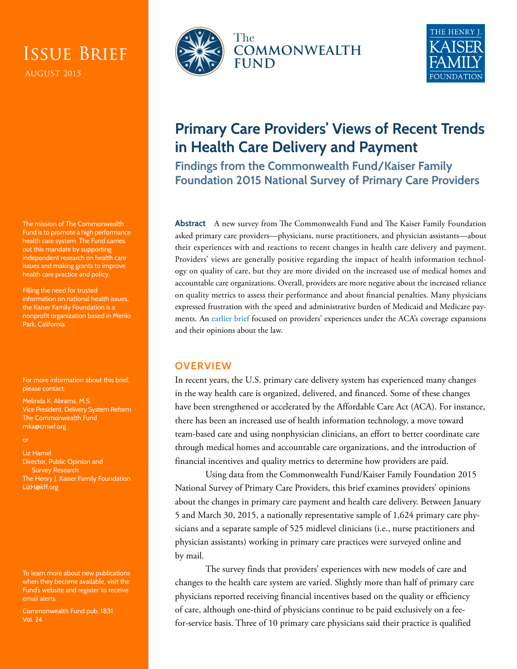# Issue Brief

The mission of The Commonwealth Fund is to promote a high performance health care system. The Fund carries out this mandate by supporting independent research on health care issues and making grants to improve health care practice and policy.

Filling the need for trusted information on national health issues, the Kaiser Family Foundation is a nonprofit organization based in Menlo Park, California.

For more information about this brief, please contact:

Melinda K. Abrams, M.S. Vice President, Delivery System Reform The Commonwealth Fund [mka@cmwf.org](mailto:mka@cmwf.org)

Liz Hamel Director, Public Opinion and Survey Research The Henry J. Kaiser Family Foundation [LizH@kff.org](mailto:LizH@kff.org)

To learn more about new publications when they become available, visit the Fund's website and [register to receive](http://www.commonwealthfund.org/myprofile/myprofile_edit.htm)  [email alerts.](http://www.commonwealthfund.org/myprofile/myprofile_edit.htm)

Commonwealth Fund pub. 1831 Vol. 24





## **Primary Care Providers' Views of Recent Trends in Health Care Delivery and Payment**

**Findings from the Commonwealth Fund/Kaiser Family Foundation 2015 National Survey of Primary Care Providers**

**Abstract** A new survey from The Commonwealth Fund and The Kaiser Family Foundation asked primary care providers—physicians, nurse practitioners, and physician assistants—about their experiences with and reactions to recent changes in health care delivery and payment. Providers' views are generally positive regarding the impact of health information technology on quality of care, but they are more divided on the increased use of medical homes and accountable care organizations. Overall, providers are more negative about the increased reliance on quality metrics to assess their performance and about financial penalties. Many physicians expressed frustration with the speed and administrative burden of Medicaid and Medicare payments. An [earlier brief](http://www.commonwealthfund.org/publications/issue-briefs/2015/jun/primary-care-providers-first-year-aca) focused on providers' experiences under the ACA's coverage expansions and their opinions about the law.

## **OVERVIEW**

In recent years, the U.S. primary care delivery system has experienced many changes in the way health care is organized, delivered, and financed. Some of these changes have been strengthened or accelerated by the Affordable Care Act (ACA). For instance, there has been an increased use of health information technology, a move toward team-based care and using nonphysician clinicians, an effort to better coordinate care through medical homes and accountable care organizations, and the introduction of financial incentives and quality metrics to determine how providers are paid.

Using data from the Commonwealth Fund/Kaiser Family Foundation 2015 National Survey of Primary Care Providers, this brief examines providers' opinions about the changes in primary care payment and health care delivery. Between January 5 and March 30, 2015, a nationally representative sample of 1,624 primary care physicians and a separate sample of 525 midlevel clinicians (i.e., nurse practitioners and physician assistants) working in primary care practices were surveyed online and by mail.

The survey finds that providers' experiences with new models of care and changes to the health care system are varied. Slightly more than half of primary care physicians reported receiving financial incentives based on the quality or efficiency of care, although one-third of physicians continue to be paid exclusively on a feefor-service basis. Three of 10 primary care physicians said their practice is qualified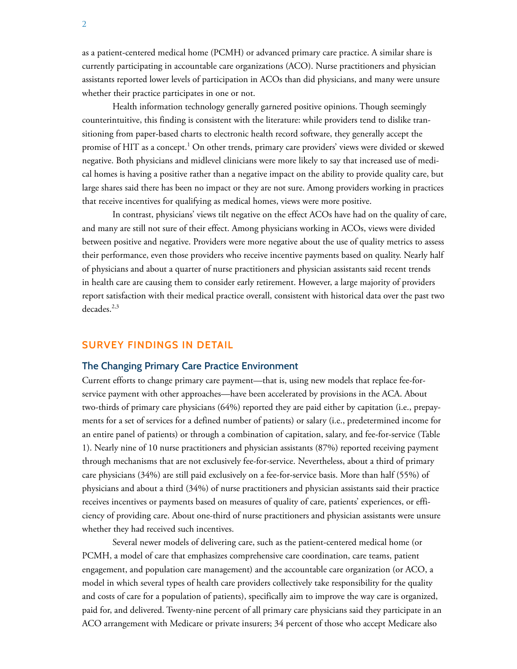as a patient-centered medical home (PCMH) or advanced primary care practice. A similar share is currently participating in accountable care organizations (ACO). Nurse practitioners and physician assistants reported lower levels of participation in ACOs than did physicians, and many were unsure whether their practice participates in one or not.

Health information technology generally garnered positive opinions. Though seemingly counterintuitive, this finding is consistent with the literature: while providers tend to dislike transitioning from paper-based charts to electronic health record software, they generally accept the promise of HIT as a concept. $^1$  On other trends, primary care providers' views were divided or skewed negative. Both physicians and midlevel clinicians were more likely to say that increased use of medical homes is having a positive rather than a negative impact on the ability to provide quality care, but large shares said there has been no impact or they are not sure. Among providers working in practices that receive incentives for qualifying as medical homes, views were more positive.

In contrast, physicians' views tilt negative on the effect ACOs have had on the quality of care, and many are still not sure of their effect. Among physicians working in ACOs, views were divided between positive and negative. Providers were more negative about the use of quality metrics to assess their performance, even those providers who receive incentive payments based on quality. Nearly half of physicians and about a quarter of nurse practitioners and physician assistants said recent trends in health care are causing them to consider early retirement. However, a large majority of providers report satisfaction with their medical practice overall, consistent with historical data over the past two decades. $2,3$ 

## **SURVEY FINDINGS IN DETAIL**

## **The Changing Primary Care Practice Environment**

Current efforts to change primary care payment—that is, using new models that replace fee-forservice payment with other approaches—have been accelerated by provisions in the ACA. About two-thirds of primary care physicians (64%) reported they are paid either by capitation (i.e., prepayments for a set of services for a defined number of patients) or salary (i.e., predetermined income for an entire panel of patients) or through a combination of capitation, salary, and fee-for-service (Table 1). Nearly nine of 10 nurse practitioners and physician assistants (87%) reported receiving payment through mechanisms that are not exclusively fee-for-service. Nevertheless, about a third of primary care physicians (34%) are still paid exclusively on a fee-for-service basis. More than half (55%) of physicians and about a third (34%) of nurse practitioners and physician assistants said their practice receives incentives or payments based on measures of quality of care, patients' experiences, or efficiency of providing care. About one-third of nurse practitioners and physician assistants were unsure whether they had received such incentives.

Several newer models of delivering care, such as the patient-centered medical home (or PCMH, a model of care that emphasizes comprehensive care coordination, care teams, patient engagement, and population care management) and the accountable care organization (or ACO, a model in which several types of health care providers collectively take responsibility for the quality and costs of care for a population of patients), specifically aim to improve the way care is organized, paid for, and delivered. Twenty-nine percent of all primary care physicians said they participate in an ACO arrangement with Medicare or private insurers; 34 percent of those who accept Medicare also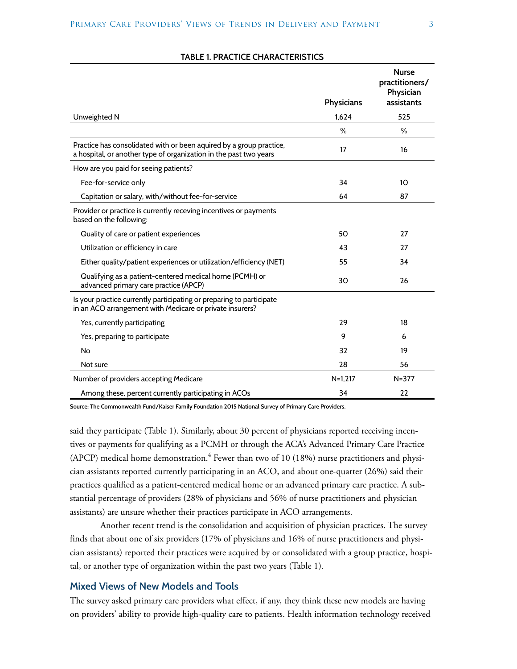|                                                                                                                                          |               | <b>Nurse</b><br>practitioners/<br>Physician |
|------------------------------------------------------------------------------------------------------------------------------------------|---------------|---------------------------------------------|
|                                                                                                                                          | Physicians    | assistants                                  |
| Unweighted N                                                                                                                             | 1.624         | 525                                         |
|                                                                                                                                          | $\frac{0}{0}$ | $\%$                                        |
| Practice has consolidated with or been aquired by a group practice,<br>a hospital, or another type of organization in the past two years | 17            | 16                                          |
| How are you paid for seeing patients?                                                                                                    |               |                                             |
| Fee-for-service only                                                                                                                     | 34            | 10                                          |
| Capitation or salary, with/without fee-for-service                                                                                       | 64            | 87                                          |
| Provider or practice is currently receving incentives or payments<br>based on the following:                                             |               |                                             |
| Quality of care or patient experiences                                                                                                   | 50            | 27                                          |
| Utilization or efficiency in care                                                                                                        | 43            | 27                                          |
| Either quality/patient experiences or utilization/efficiency (NET)                                                                       | 55            | 34                                          |
| Qualifying as a patient-centered medical home (PCMH) or<br>advanced primary care practice (APCP)                                         | 30            | 26                                          |
| Is your practice currently participating or preparing to participate<br>in an ACO arrangement with Medicare or private insurers?         |               |                                             |
| Yes, currently participating                                                                                                             | 29            | 18                                          |
| Yes, preparing to participate                                                                                                            | 9             | 6                                           |
| No                                                                                                                                       | 32            | 19                                          |
| Not sure                                                                                                                                 | 28            | 56                                          |
| Number of providers accepting Medicare                                                                                                   | $N=1,217$     | $N = 377$                                   |
| Among these, percent currently participating in ACOs                                                                                     | 34            | 22                                          |

### **TABLE 1. PRACTICE CHARACTERISTICS**

**Source: The Commonwealth Fund/Kaiser Family Foundation 2015 National Survey of Primary Care Providers.**

said they participate (Table 1). Similarly, about 30 percent of physicians reported receiving incentives or payments for qualifying as a PCMH or through the ACA's Advanced Primary Care Practice (APCP) medical home demonstration.<sup>4</sup> Fewer than two of 10 (18%) nurse practitioners and physician assistants reported currently participating in an ACO, and about one-quarter (26%) said their practices qualified as a patient-centered medical home or an advanced primary care practice. A substantial percentage of providers (28% of physicians and 56% of nurse practitioners and physician assistants) are unsure whether their practices participate in ACO arrangements.

Another recent trend is the consolidation and acquisition of physician practices. The survey finds that about one of six providers (17% of physicians and 16% of nurse practitioners and physician assistants) reported their practices were acquired by or consolidated with a group practice, hospital, or another type of organization within the past two years (Table 1).

## **Mixed Views of New Models and Tools**

The survey asked primary care providers what effect, if any, they think these new models are having on providers' ability to provide high-quality care to patients. Health information technology received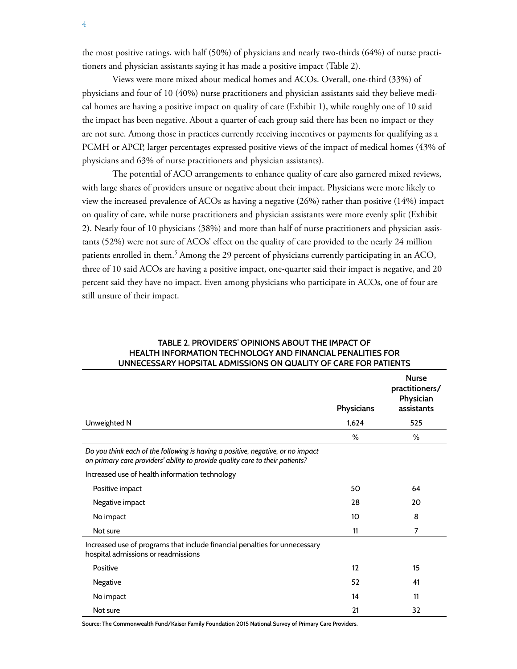the most positive ratings, with half (50%) of physicians and nearly two-thirds (64%) of nurse practitioners and physician assistants saying it has made a positive impact (Table 2).

Views were more mixed about medical homes and ACOs. Overall, one-third (33%) of physicians and four of 10 (40%) nurse practitioners and physician assistants said they believe medical homes are having a positive impact on quality of care (Exhibit 1), while roughly one of 10 said the impact has been negative. About a quarter of each group said there has been no impact or they are not sure. Among those in practices currently receiving incentives or payments for qualifying as a PCMH or APCP, larger percentages expressed positive views of the impact of medical homes (43% of physicians and 63% of nurse practitioners and physician assistants).

The potential of ACO arrangements to enhance quality of care also garnered mixed reviews, with large shares of providers unsure or negative about their impact. Physicians were more likely to view the increased prevalence of ACOs as having a negative (26%) rather than positive (14%) impact on quality of care, while nurse practitioners and physician assistants were more evenly split (Exhibit 2). Nearly four of 10 physicians (38%) and more than half of nurse practitioners and physician assistants (52%) were not sure of ACOs' effect on the quality of care provided to the nearly 24 million patients enrolled in them.<sup>5</sup> Among the 29 percent of physicians currently participating in an ACO, three of 10 said ACOs are having a positive impact, one-quarter said their impact is negative, and 20 percent said they have no impact. Even among physicians who participate in ACOs, one of four are still unsure of their impact.

|                                                                                                                                                                  |            | <b>Nurse</b><br>practitioners/<br>Physician |
|------------------------------------------------------------------------------------------------------------------------------------------------------------------|------------|---------------------------------------------|
|                                                                                                                                                                  | Physicians | assistants                                  |
| Unweighted N                                                                                                                                                     | 1,624      | 525                                         |
|                                                                                                                                                                  | $\%$       | $\%$                                        |
| Do you think each of the following is having a positive, negative, or no impact<br>on primary care providers' ability to provide quality care to their patients? |            |                                             |
| Increased use of health information technology                                                                                                                   |            |                                             |
| Positive impact                                                                                                                                                  | 50         | 64                                          |
| Negative impact                                                                                                                                                  | 28         | 20                                          |
| No impact                                                                                                                                                        | 10         | 8                                           |
| Not sure                                                                                                                                                         | 11         | 7                                           |
| Increased use of programs that include financial penalties for unnecessary<br>hospital admissions or readmissions                                                |            |                                             |
| Positive                                                                                                                                                         | 12         | 15                                          |
| Negative                                                                                                                                                         | 52         | 41                                          |
| No impact                                                                                                                                                        | 14         | 11                                          |
| Not sure                                                                                                                                                         | 21         | 32                                          |

## **TABLE 2. PROVIDERS' OPINIONS ABOUT THE IMPACT OF HEALTH INFORMATION TECHNOLOGY AND FINANCIAL PENALITIES FOR UNNECESSARY HOPSITAL ADMISSIONS ON QUALITY OF CARE FOR PATIENTS**

**Source: The Commonwealth Fund/Kaiser Family Foundation 2015 National Survey of Primary Care Providers.**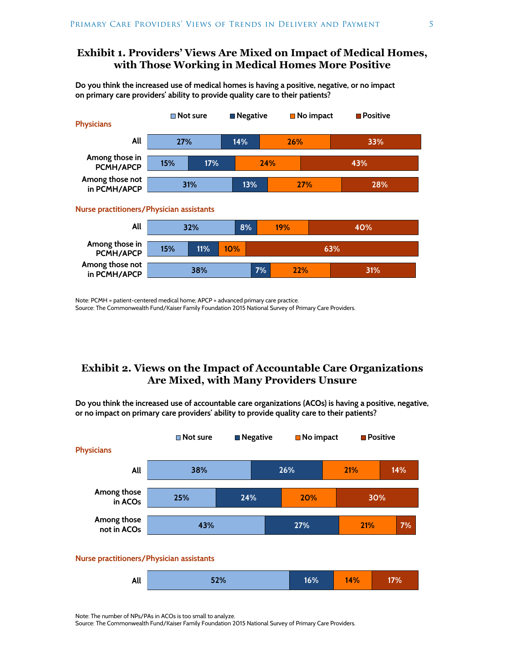## **Exhibit 1. Providers' Views Are Mixed on Impact of Medical Homes, with Those Working in Medical Homes More Positive**

**Do you think the increased use of medical homes is having a positive, negative, or no impact on primary care providers' ability to provide quality care to their patients?**



Note: PCMH = patient-centered medical home; APCP = advanced primary care practice. Source: The Commonwealth Fund/Kaiser Family Foundation 2015 National Survey of Primary Care Providers.

## **Exhibit 2. Views on the Impact of Accountable Care Organizations Are Mixed, with Many Providers Unsure**

**Do you think the increased use of accountable care organizations (ACOs) is having a positive, negative, or no impact on primary care providers' ability to provide quality care to their patients?**



| A 11<br>All | 0 <sup>2</sup><br><b>14</b> | 60I<br><b>A</b> | <b>14%</b> | 7 U |
|-------------|-----------------------------|-----------------|------------|-----|
|             |                             |                 |            |     |

Note: The number of NPs/PAs in ACOs is too small to analyze.

Source: The Commonwealth Fund/Kaiser Family Foundation 2015 National Survey of Primary Care Providers.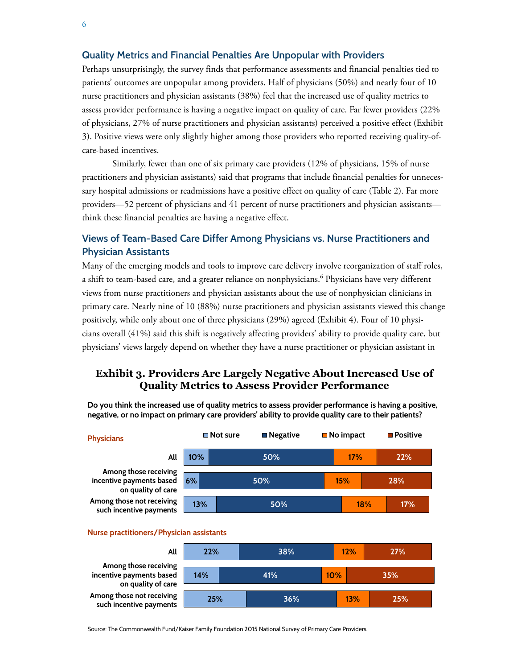## **Quality Metrics and Financial Penalties Are Unpopular with Providers**

Perhaps unsurprisingly, the survey finds that performance assessments and financial penalties tied to patients' outcomes are unpopular among providers. Half of physicians (50%) and nearly four of 10 nurse practitioners and physician assistants (38%) feel that the increased use of quality metrics to assess provider performance is having a negative impact on quality of care. Far fewer providers (22% of physicians, 27% of nurse practitioners and physician assistants) perceived a positive effect (Exhibit 3). Positive views were only slightly higher among those providers who reported receiving quality-ofcare-based incentives.

Similarly, fewer than one of six primary care providers (12% of physicians, 15% of nurse practitioners and physician assistants) said that programs that include financial penalties for unnecessary hospital admissions or readmissions have a positive effect on quality of care (Table 2). Far more providers—52 percent of physicians and 41 percent of nurse practitioners and physician assistants think these financial penalties are having a negative effect.

## **Views of Team-Based Care Differ Among Physicians vs. Nurse Practitioners and Physician Assistants**

Many of the emerging models and tools to improve care delivery involve reorganization of staff roles, a shift to team-based care, and a greater reliance on nonphysicians. $^6$  Physicians have very different views from nurse practitioners and physician assistants about the use of nonphysician clinicians in primary care. Nearly nine of 10 (88%) nurse practitioners and physician assistants viewed this change positively, while only about one of three physicians (29%) agreed (Exhibit 4). Four of 10 physicians overall (41%) said this shift is negatively affecting providers' ability to provide quality care, but physicians' views largely depend on whether they have a nurse practitioner or physician assistant in

## **Exhibit 3. Providers Are Largely Negative About Increased Use of Quality Metrics to Assess Provider Performance**

**Do you think the increased use of quality metrics to assess provider performance is having a positive, negative, or no impact on primary care providers' ability to provide quality care to their patients?**



#### **Nurse practitioners/Physician assistants**

| All                                                                     | 22% | 38% |     | 12% | 27% |
|-------------------------------------------------------------------------|-----|-----|-----|-----|-----|
| Among those receiving<br>incentive payments based<br>on quality of care | 14% | 41% | 10% |     | 35% |
| Among those not receiving<br>such incentive payments                    | 25% | 36% |     | 13% | 25% |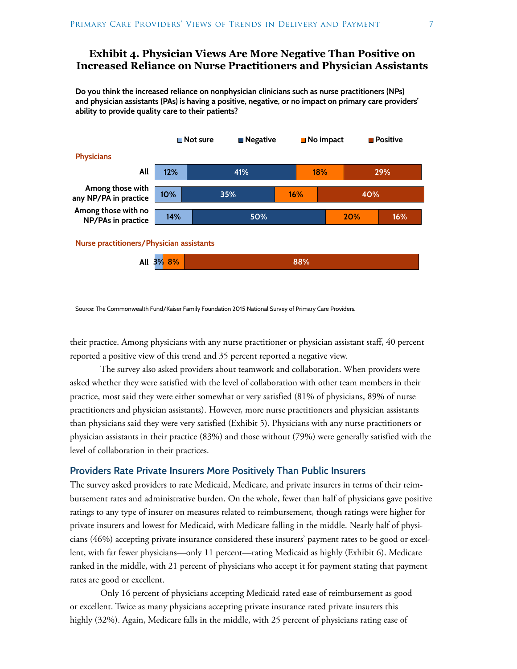## **Exhibit 4. Physician Views Are More Negative Than Positive on Increased Reliance on Nurse Practitioners and Physician Assistants**

**Do you think the increased reliance on nonphysician clinicians such as nurse practitioners (NPs) and physician assistants (PAs) is having a positive, negative, or no impact on primary care providers' ability to provide quality care to their patients?**



Source: The Commonwealth Fund/Kaiser Family Foundation 2015 National Survey of Primary Care Providers.

their practice. Among physicians with any nurse practitioner or physician assistant staff, 40 percent reported a positive view of this trend and 35 percent reported a negative view.

The survey also asked providers about teamwork and collaboration. When providers were asked whether they were satisfied with the level of collaboration with other team members in their practice, most said they were either somewhat or very satisfied (81% of physicians, 89% of nurse practitioners and physician assistants). However, more nurse practitioners and physician assistants than physicians said they were very satisfied (Exhibit 5). Physicians with any nurse practitioners or physician assistants in their practice (83%) and those without (79%) were generally satisfied with the level of collaboration in their practices.

## **Providers Rate Private Insurers More Positively Than Public Insurers**

The survey asked providers to rate Medicaid, Medicare, and private insurers in terms of their reimbursement rates and administrative burden. On the whole, fewer than half of physicians gave positive ratings to any type of insurer on measures related to reimbursement, though ratings were higher for private insurers and lowest for Medicaid, with Medicare falling in the middle. Nearly half of physicians (46%) accepting private insurance considered these insurers' payment rates to be good or excellent, with far fewer physicians—only 11 percent—rating Medicaid as highly (Exhibit 6). Medicare ranked in the middle, with 21 percent of physicians who accept it for payment stating that payment rates are good or excellent.

Only 16 percent of physicians accepting Medicaid rated ease of reimbursement as good or excellent. Twice as many physicians accepting private insurance rated private insurers this highly (32%). Again, Medicare falls in the middle, with 25 percent of physicians rating ease of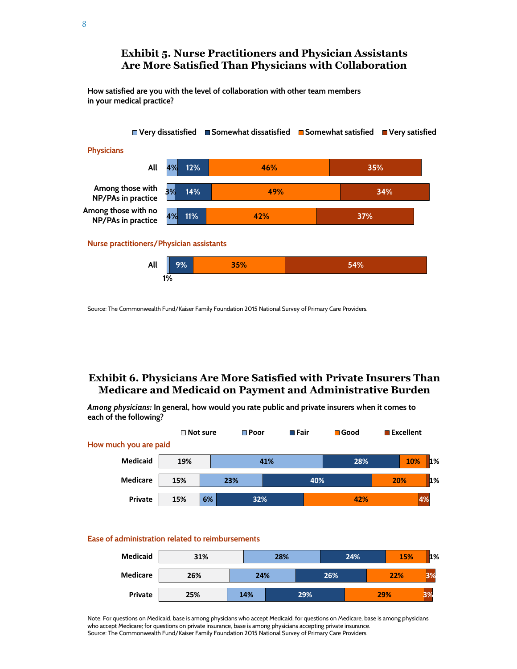## **Exhibit 5. Nurse Practitioners and Physician Assistants Are More Satisfied Than Physicians with Collaboration**

**How satisfied are you with the level of collaboration with other team members in your medical practice?**



Source: The Commonwealth Fund/Kaiser Family Foundation 2015 National Survey of Primary Care Providers.

## **Exhibit 6. Physicians Are More Satisfied with Private Insurers Than Medicare and Medicaid on Payment and Administrative Burden**

*Among physicians:* **In general, how would you rate public and private insurers when it comes to each of the following?**

|                                                  | $\Box$ Not sure |    | $\Box$ Poor |     | $\blacksquare$ Fair | $\blacksquare$ Good | <b>■ Excellent</b> |       |
|--------------------------------------------------|-----------------|----|-------------|-----|---------------------|---------------------|--------------------|-------|
| How much you are paid                            |                 |    |             |     |                     |                     |                    |       |
| <b>Medicaid</b>                                  | 19%             |    |             | 41% |                     | 28%                 | 10%                | $1\%$ |
| <b>Medicare</b>                                  | 15%             |    | 23%         |     | 40%                 |                     | 20%                | $1\%$ |
| Private                                          | 15%             | 6% | 32%         |     |                     | 42%                 |                    | 4%    |
|                                                  |                 |    |             |     |                     |                     |                    |       |
| Ease of administration related to reimbursements |                 |    |             |     |                     |                     |                    |       |

#### **31% 26% 25% 28% 24% 14% 24% 26% 29% 15% 22% 29% 1% 3% 3% Medicaid Medicare Private**

Note: For questions on Medicaid, base is among physicians who accept Medicaid; for questions on Medicare, base is among physicians who accept Medicare; for questions on private insurance, base is among physicians accepting private insurance. Source: The Commonwealth Fund/Kaiser Family Foundation 2015 National Survey of Primary Care Providers.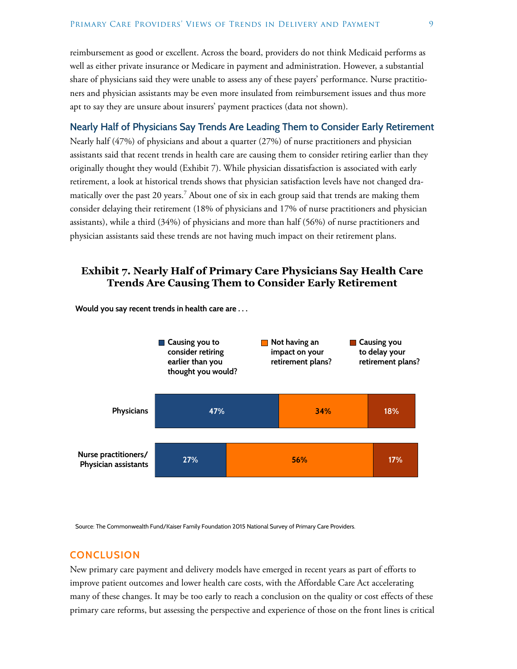reimbursement as good or excellent. Across the board, providers do not think Medicaid performs as well as either private insurance or Medicare in payment and administration. However, a substantial share of physicians said they were unable to assess any of these payers' performance. Nurse practitioners and physician assistants may be even more insulated from reimbursement issues and thus more apt to say they are unsure about insurers' payment practices (data not shown).

## **Nearly Half of Physicians Say Trends Are Leading Them to Consider Early Retirement**

Nearly half (47%) of physicians and about a quarter (27%) of nurse practitioners and physician assistants said that recent trends in health care are causing them to consider retiring earlier than they originally thought they would (Exhibit 7). While physician dissatisfaction is associated with early retirement, a look at historical trends shows that physician satisfaction levels have not changed dramatically over the past 20 years.<sup>7</sup> About one of six in each group said that trends are making them consider delaying their retirement (18% of physicians and 17% of nurse practitioners and physician assistants), while a third (34%) of physicians and more than half (56%) of nurse practitioners and physician assistants said these trends are not having much impact on their retirement plans.

## **Exhibit 7. Nearly Half of Primary Care Physicians Say Health Care Trends Are Causing Them to Consider Early Retirement**



**Would you say recent trends in health care are . . .**

Source: The Commonwealth Fund/Kaiser Family Foundation 2015 National Survey of Primary Care Providers.

## **CONCLUSION**

New primary care payment and delivery models have emerged in recent years as part of efforts to improve patient outcomes and lower health care costs, with the Affordable Care Act accelerating many of these changes. It may be too early to reach a conclusion on the quality or cost effects of these primary care reforms, but assessing the perspective and experience of those on the front lines is critical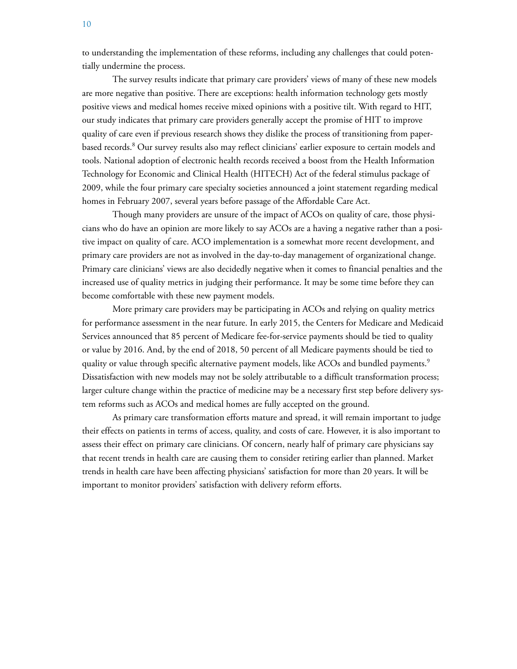to understanding the implementation of these reforms, including any challenges that could potentially undermine the process.

The survey results indicate that primary care providers' views of many of these new models are more negative than positive. There are exceptions: health information technology gets mostly positive views and medical homes receive mixed opinions with a positive tilt. With regard to HIT, our study indicates that primary care providers generally accept the promise of HIT to improve quality of care even if previous research shows they dislike the process of transitioning from paperbased records.<sup>8</sup> Our survey results also may reflect clinicians' earlier exposure to certain models and tools. National adoption of electronic health records received a boost from the Health Information Technology for Economic and Clinical Health (HITECH) Act of the federal stimulus package of 2009, while the four primary care specialty societies announced a joint statement regarding medical homes in February 2007, several years before passage of the Affordable Care Act.

Though many providers are unsure of the impact of ACOs on quality of care, those physicians who do have an opinion are more likely to say ACOs are a having a negative rather than a positive impact on quality of care. ACO implementation is a somewhat more recent development, and primary care providers are not as involved in the day-to-day management of organizational change. Primary care clinicians' views are also decidedly negative when it comes to financial penalties and the increased use of quality metrics in judging their performance. It may be some time before they can become comfortable with these new payment models.

More primary care providers may be participating in ACOs and relying on quality metrics for performance assessment in the near future. In early 2015, the Centers for Medicare and Medicaid Services announced that 85 percent of Medicare fee-for-service payments should be tied to quality or value by 2016. And, by the end of 2018, 50 percent of all Medicare payments should be tied to quality or value through specific alternative payment models, like ACOs and bundled payments.<sup>9</sup> Dissatisfaction with new models may not be solely attributable to a difficult transformation process; larger culture change within the practice of medicine may be a necessary first step before delivery system reforms such as ACOs and medical homes are fully accepted on the ground.

As primary care transformation efforts mature and spread, it will remain important to judge their effects on patients in terms of access, quality, and costs of care. However, it is also important to assess their effect on primary care clinicians. Of concern, nearly half of primary care physicians say that recent trends in health care are causing them to consider retiring earlier than planned. Market trends in health care have been affecting physicians' satisfaction for more than 20 years. It will be important to monitor providers' satisfaction with delivery reform efforts.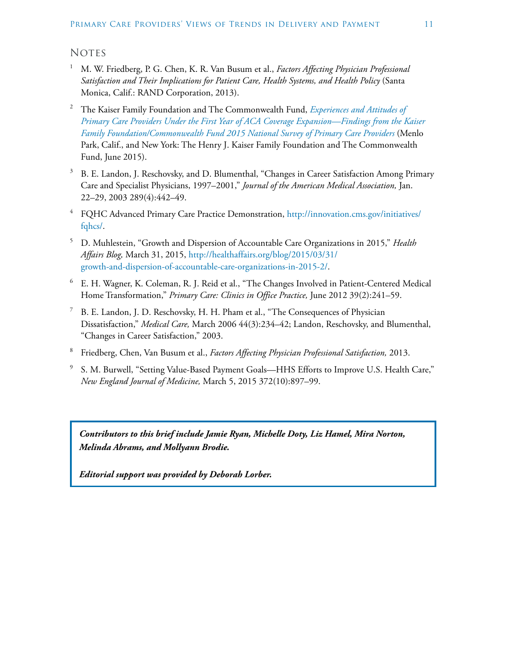## **NOTES**

- <sup>1</sup> M. W. Friedberg, P. G. Chen, K. R. Van Busum et al., *Factors Affecting Physician Professional Satisfaction and Their Implications for Patient Care, Health Systems, and Health Policy* (Santa Monica, Calif.: RAND Corporation, 2013).
- <sup>2</sup> The Kaiser Family Foundation and The Commonwealth Fund, *[Experiences and Attitudes of](http://www.commonwealthfund.org/publications/issue-briefs/2015/jun/primary-care-providers-first-year-aca)  [Primary Care Providers Under the First Year of ACA Coverage Expansion—Findings from the Kaiser](http://www.commonwealthfund.org/publications/issue-briefs/2015/jun/primary-care-providers-first-year-aca)  [Family Foundation/Commonwealth Fund 2015 National Survey of Primary Care Providers](http://www.commonwealthfund.org/publications/issue-briefs/2015/jun/primary-care-providers-first-year-aca)* (Menlo Park, Calif., and New York: The Henry J. Kaiser Family Foundation and The Commonwealth Fund, June 2015).
- $3$  B. E. Landon, J. Reschovsky, and D. Blumenthal, "Changes in Career Satisfaction Among Primary Care and Specialist Physicians, 1997–2001," *Journal of the American Medical Association,* Jan. 22–29, 2003 289(4):442–49.
- <sup>4</sup> FQHC Advanced Primary Care Practice Demonstration, [http://innovation.cms.gov/initiatives/](http://innovation.cms.gov/initiatives/fqhcs/) [fqhcs/.](http://innovation.cms.gov/initiatives/fqhcs/)
- <sup>5</sup> D. Muhlestein, "Growth and Dispersion of Accountable Care Organizations in 2015," *Health Affairs Blog,* March 31, 2015, [http://healthaffairs.org/blog/2015/03/31/](http://healthaffairs.org/blog/2015/03/31/growth-and-dispersion-of-accountable-care-organizations-in-2015-2/) [growth-and-dispersion-of-accountable-care-organizations-in-2015-2/](http://healthaffairs.org/blog/2015/03/31/growth-and-dispersion-of-accountable-care-organizations-in-2015-2/).
- <sup>6</sup> E. H. Wagner, K. Coleman, R. J. Reid et al., "The Changes Involved in Patient-Centered Medical Home Transformation," *Primary Care: Clinics in Office Practice,* June 2012 39(2):241–59.
- <sup>7</sup> B. E. Landon, J. D. Reschovsky, H. H. Pham et al., "The Consequences of Physician Dissatisfaction," *Medical Care,* March 2006 44(3):234–42; Landon, Reschovsky, and Blumenthal, "Changes in Career Satisfaction," 2003.
- <sup>8</sup> Friedberg, Chen, Van Busum et al., *Factors Affecting Physician Professional Satisfaction,* 2013.
- <sup>9</sup> S. M. Burwell, "Setting Value-Based Payment Goals—HHS Efforts to Improve U.S. Health Care," *New England Journal of Medicine,* March 5, 2015 372(10):897–99.

*Contributors to this brief include Jamie Ryan, Michelle Doty, Liz Hamel, Mira Norton, Melinda Abrams, and Mollyann Brodie.*

*Editorial support was provided by Deborah Lorber.*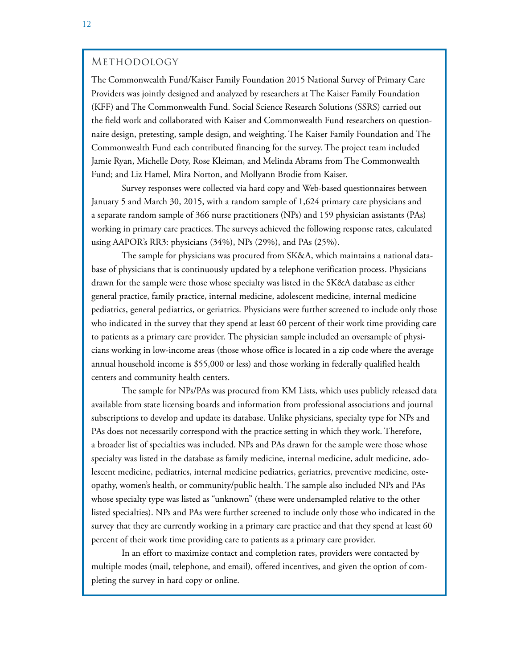## Methodology

The Commonwealth Fund/Kaiser Family Foundation 2015 National Survey of Primary Care Providers was jointly designed and analyzed by researchers at The Kaiser Family Foundation (KFF) and The Commonwealth Fund. Social Science Research Solutions (SSRS) carried out the field work and collaborated with Kaiser and Commonwealth Fund researchers on questionnaire design, pretesting, sample design, and weighting. The Kaiser Family Foundation and The Commonwealth Fund each contributed financing for the survey. The project team included Jamie Ryan, Michelle Doty, Rose Kleiman, and Melinda Abrams from The Commonwealth Fund; and Liz Hamel, Mira Norton, and Mollyann Brodie from Kaiser.

Survey responses were collected via hard copy and Web-based questionnaires between January 5 and March 30, 2015, with a random sample of 1,624 primary care physicians and a separate random sample of 366 nurse practitioners (NPs) and 159 physician assistants (PAs) working in primary care practices. The surveys achieved the following response rates, calculated using AAPOR's RR3: physicians (34%), NPs (29%), and PAs (25%).

The sample for physicians was procured from SK&A, which maintains a national database of physicians that is continuously updated by a telephone verification process. Physicians drawn for the sample were those whose specialty was listed in the SK&A database as either general practice, family practice, internal medicine, adolescent medicine, internal medicine pediatrics, general pediatrics, or geriatrics. Physicians were further screened to include only those who indicated in the survey that they spend at least 60 percent of their work time providing care to patients as a primary care provider. The physician sample included an oversample of physicians working in low-income areas (those whose office is located in a zip code where the average annual household income is \$55,000 or less) and those working in federally qualified health centers and community health centers.

The sample for NPs/PAs was procured from KM Lists, which uses publicly released data available from state licensing boards and information from professional associations and journal subscriptions to develop and update its database. Unlike physicians, specialty type for NPs and PAs does not necessarily correspond with the practice setting in which they work. Therefore, a broader list of specialties was included. NPs and PAs drawn for the sample were those whose specialty was listed in the database as family medicine, internal medicine, adult medicine, adolescent medicine, pediatrics, internal medicine pediatrics, geriatrics, preventive medicine, osteopathy, women's health, or community/public health. The sample also included NPs and PAs whose specialty type was listed as "unknown" (these were undersampled relative to the other listed specialties). NPs and PAs were further screened to include only those who indicated in the survey that they are currently working in a primary care practice and that they spend at least 60 percent of their work time providing care to patients as a primary care provider.

In an effort to maximize contact and completion rates, providers were contacted by multiple modes (mail, telephone, and email), offered incentives, and given the option of completing the survey in hard copy or online.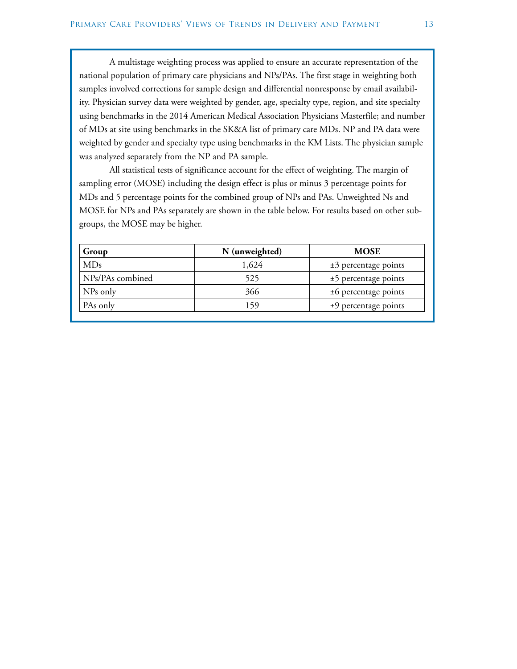A multistage weighting process was applied to ensure an accurate representation of the national population of primary care physicians and NPs/PAs. The first stage in weighting both samples involved corrections for sample design and differential nonresponse by email availability. Physician survey data were weighted by gender, age, specialty type, region, and site specialty using benchmarks in the 2014 American Medical Association Physicians Masterfile; and number of MDs at site using benchmarks in the SK&A list of primary care MDs. NP and PA data were weighted by gender and specialty type using benchmarks in the KM Lists. The physician sample was analyzed separately from the NP and PA sample.

All statistical tests of significance account for the effect of weighting. The margin of sampling error (MOSE) including the design effect is plus or minus 3 percentage points for MDs and 5 percentage points for the combined group of NPs and PAs. Unweighted Ns and MOSE for NPs and PAs separately are shown in the table below. For results based on other subgroups, the MOSE may be higher.

| Group            | N (unweighted) | <b>MOSE</b>            |
|------------------|----------------|------------------------|
| MDs              | 1,624          | $±3$ percentage points |
| NPs/PAs combined | 525            | $±5$ percentage points |
| NPs only         | 366            | $±6$ percentage points |
| PAs only         | 159            | $±9$ percentage points |